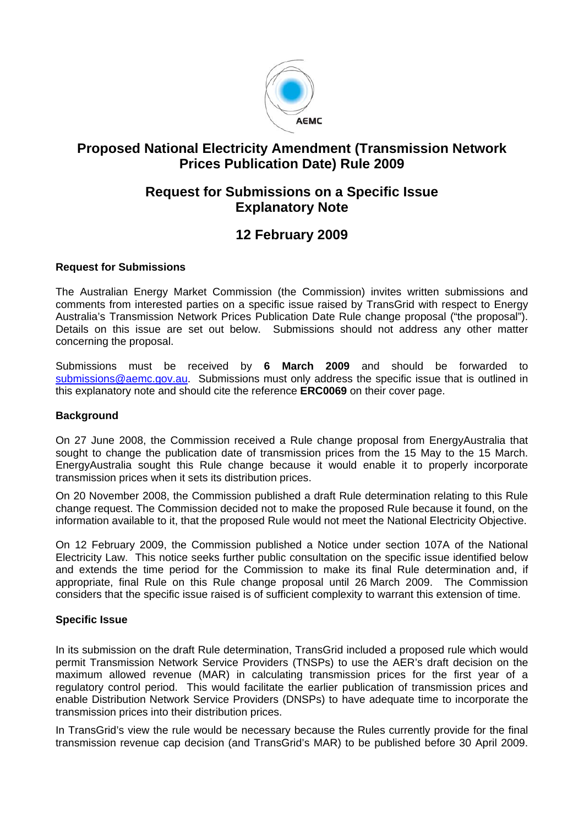

# **Proposed National Electricity Amendment (Transmission Network Prices Publication Date) Rule 2009**

## **Request for Submissions on a Specific Issue Explanatory Note**

# **12 February 2009**

## **Request for Submissions**

The Australian Energy Market Commission (the Commission) invites written submissions and comments from interested parties on a specific issue raised by TransGrid with respect to Energy Australia's Transmission Network Prices Publication Date Rule change proposal ("the proposal"). Details on this issue are set out below. Submissions should not address any other matter concerning the proposal.

Submissions must be received by **6 March 2009** and should be forwarded to submissions@aemc.gov.au. Submissions must only address the specific issue that is outlined in this explanatory note and should cite the reference **ERC0069** on their cover page.

## **Background**

On 27 June 2008, the Commission received a Rule change proposal from EnergyAustralia that sought to change the publication date of transmission prices from the 15 May to the 15 March. EnergyAustralia sought this Rule change because it would enable it to properly incorporate transmission prices when it sets its distribution prices.

On 20 November 2008, the Commission published a draft Rule determination relating to this Rule change request. The Commission decided not to make the proposed Rule because it found, on the information available to it, that the proposed Rule would not meet the National Electricity Objective.

On 12 February 2009, the Commission published a Notice under section 107A of the National Electricity Law. This notice seeks further public consultation on the specific issue identified below and extends the time period for the Commission to make its final Rule determination and, if appropriate, final Rule on this Rule change proposal until 26 March 2009. The Commission considers that the specific issue raised is of sufficient complexity to warrant this extension of time.

## **Specific Issue**

In its submission on the draft Rule determination, TransGrid included a proposed rule which would permit Transmission Network Service Providers (TNSPs) to use the AER's draft decision on the maximum allowed revenue (MAR) in calculating transmission prices for the first year of a regulatory control period. This would facilitate the earlier publication of transmission prices and enable Distribution Network Service Providers (DNSPs) to have adequate time to incorporate the transmission prices into their distribution prices.

In TransGrid's view the rule would be necessary because the Rules currently provide for the final transmission revenue cap decision (and TransGrid's MAR) to be published before 30 April 2009.